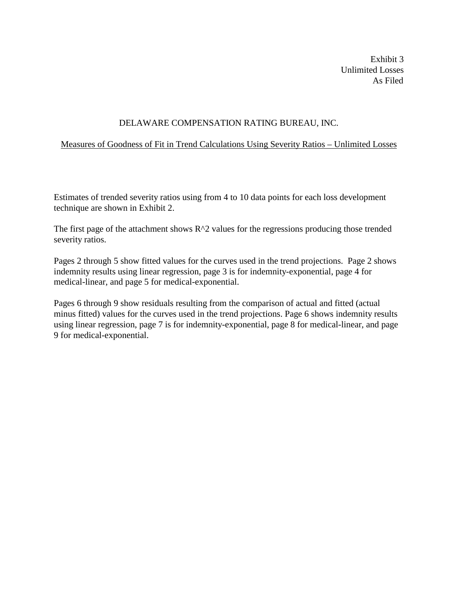Exhibit 3 Unlimited Losses As Filed

## DELAWARE COMPENSATION RATING BUREAU, INC.

## Measures of Goodness of Fit in Trend Calculations Using Severity Ratios – Unlimited Losses

Estimates of trended severity ratios using from 4 to 10 data points for each loss development technique are shown in Exhibit 2.

The first page of the attachment shows  $R^2$  values for the regressions producing those trended severity ratios.

Pages 2 through 5 show fitted values for the curves used in the trend projections. Page 2 shows indemnity results using linear regression, page 3 is for indemnity-exponential, page 4 for medical-linear, and page 5 for medical-exponential.

Pages 6 through 9 show residuals resulting from the comparison of actual and fitted (actual minus fitted) values for the curves used in the trend projections. Page 6 shows indemnity results using linear regression, page 7 is for indemnity-exponential, page 8 for medical-linear, and page 9 for medical-exponential.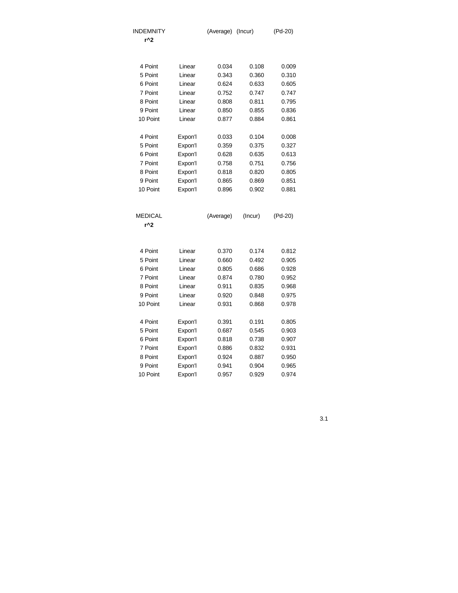| <b>INDEMNITY</b> |         | (Average) | (Incur) | (Pd-20) |
|------------------|---------|-----------|---------|---------|
| r^2              |         |           |         |         |
|                  |         |           |         |         |
| 4 Point          | Linear  | 0.034     | 0.108   | 0.009   |
| 5 Point          | Linear  | 0.343     | 0.360   | 0.310   |
| 6 Point          | Linear  | 0.624     | 0.633   | 0.605   |
| 7 Point          | Linear  | 0.752     | 0.747   | 0.747   |
| 8 Point          | Linear  | 0.808     | 0.811   | 0.795   |
| 9 Point          | Linear  | 0.850     | 0.855   | 0.836   |
| 10 Point         | Linear  | 0.877     | 0.884   | 0.861   |
| 4 Point          | Expon'l | 0.033     | 0.104   | 0.008   |
| 5 Point          | Expon'l | 0.359     | 0.375   | 0.327   |
| 6 Point          | Expon'l | 0.628     | 0.635   | 0.613   |
| 7 Point          | Expon'l | 0.758     | 0.751   | 0.756   |
| 8 Point          | Expon'l | 0.818     | 0.820   | 0.805   |
| 9 Point          | Expon'l | 0.865     | 0.869   | 0.851   |
| 10 Point         | Expon'l | 0.896     | 0.902   | 0.881   |
|                  |         |           |         |         |
| MEDICAL          |         | (Average) | (Incur) | (Pd-20) |
| r^2              |         |           |         |         |
|                  |         |           |         |         |
| 4 Point          | Linear  | 0.370     | 0.174   | 0.812   |
| 5 Point          | Linear  | 0.660     | 0.492   | 0.905   |
| 6 Point          | Linear  | 0.805     | 0.686   | 0.928   |
| 7 Point          | Linear  | 0.874     | 0.780   | 0.952   |
| 8 Point          | Linear  | 0.911     | 0.835   | 0.968   |
| 9 Point          | Linear  | 0.920     | 0.848   | 0.975   |
| 10 Point         | Linear  | 0.931     | 0.868   | 0.978   |
|                  |         |           |         |         |
| 4 Point          | Expon'l | 0.391     | 0.191   | 0.805   |
| 5 Point          | Expon'l | 0.687     | 0.545   | 0.903   |
| 6 Point          | Expon'l | 0.818     | 0.738   | 0.907   |
| 7 Point          | Expon'l | 0.886     | 0.832   | 0.931   |
| 8 Point          | Expon'l | 0.924     | 0.887   | 0.950   |
| 9 Point          |         |           |         |         |
| 10 Point         | Expon'l | 0.941     | 0.904   | 0.965   |

3.1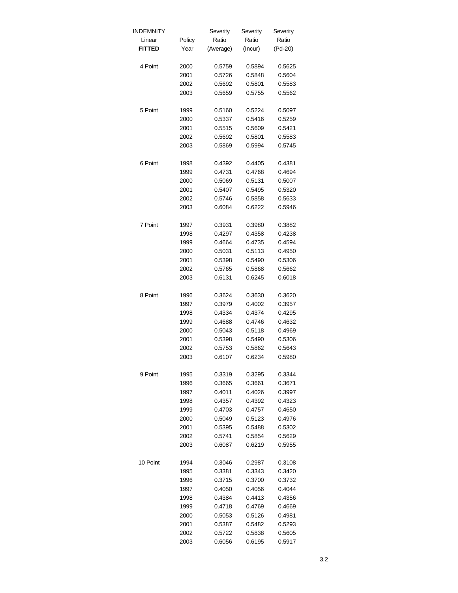| INDEMNITY     |        | Severity  | Severity | Severity |
|---------------|--------|-----------|----------|----------|
| Linear        | Policy | Ratio     | Ratio    | Ratio    |
| <b>FITTED</b> | Year   | (Average) | (Incur)  | (Pd-20)  |
| 4 Point       | 2000   | 0.5759    | 0.5894   | 0.5625   |
|               | 2001   | 0.5726    | 0.5848   | 0.5604   |
|               | 2002   | 0.5692    | 0.5801   | 0.5583   |
|               | 2003   | 0.5659    | 0.5755   | 0.5562   |
|               |        |           |          |          |
| 5 Point       | 1999   | 0.5160    | 0.5224   | 0.5097   |
|               | 2000   | 0.5337    | 0.5416   | 0.5259   |
|               | 2001   | 0.5515    | 0.5609   | 0.5421   |
|               | 2002   | 0.5692    | 0.5801   | 0.5583   |
|               | 2003   | 0.5869    | 0.5994   | 0.5745   |
| 6 Point       | 1998   | 0.4392    | 0.4405   | 0.4381   |
|               | 1999   | 0.4731    | 0.4768   | 0.4694   |
|               | 2000   | 0.5069    | 0.5131   | 0.5007   |
|               | 2001   | 0.5407    | 0.5495   | 0.5320   |
|               | 2002   | 0.5746    | 0.5858   | 0.5633   |
|               | 2003   | 0.6084    | 0.6222   | 0.5946   |
| 7 Point       | 1997   | 0.3931    | 0.3980   | 0.3882   |
|               | 1998   | 0.4297    | 0.4358   | 0.4238   |
|               | 1999   | 0.4664    | 0.4735   | 0.4594   |
|               | 2000   | 0.5031    | 0.5113   | 0.4950   |
|               | 2001   | 0.5398    | 0.5490   | 0.5306   |
|               | 2002   | 0.5765    | 0.5868   | 0.5662   |
|               | 2003   | 0.6131    | 0.6245   | 0.6018   |
|               |        |           |          |          |
| 8 Point       | 1996   | 0.3624    | 0.3630   | 0.3620   |
|               | 1997   | 0.3979    | 0.4002   | 0.3957   |
|               | 1998   | 0.4334    | 0.4374   | 0.4295   |
|               | 1999   | 0.4688    | 0.4746   | 0.4632   |
|               | 2000   | 0.5043    | 0.5118   | 0.4969   |
|               | 2001   | 0.5398    | 0.5490   | 0.5306   |
|               | 2002   | 0.5753    | 0.5862   | 0.5643   |
|               | 2003   | 0.6107    | 0.6234   | 0.5980   |
| 9 Point       | 1995   | 0.3319    | 0.3295   | 0.3344   |
|               | 1996   | 0.3665    | 0.3661   | 0.3671   |
|               | 1997   | 0.4011    | 0.4026   | 0.3997   |
|               | 1998   | 0.4357    | 0.4392   | 0.4323   |
|               | 1999   | 0.4703    | 0.4757   | 0.4650   |
|               | 2000   | 0.5049    | 0.5123   | 0.4976   |
|               | 2001   | 0.5395    | 0.5488   | 0.5302   |
|               |        |           |          |          |
|               | 2002   | 0.5741    | 0.5854   | 0.5629   |
|               | 2003   | 0.6087    | 0.6219   | 0.5955   |
| 10 Point      | 1994   | 0.3046    | 0.2987   | 0.3108   |
|               | 1995   | 0.3381    | 0.3343   | 0.3420   |
|               | 1996   | 0.3715    | 0.3700   | 0.3732   |
|               | 1997   | 0.4050    | 0.4056   | 0.4044   |
|               | 1998   | 0.4384    | 0.4413   | 0.4356   |
|               | 1999   | 0.4718    | 0.4769   | 0.4669   |
|               | 2000   | 0.5053    | 0.5126   | 0.4981   |
|               | 2001   | 0.5387    | 0.5482   | 0.5293   |
|               | 2002   | 0.5722    | 0.5838   | 0.5605   |
|               | 2003   | 0.6056    | 0.6195   | 0.5917   |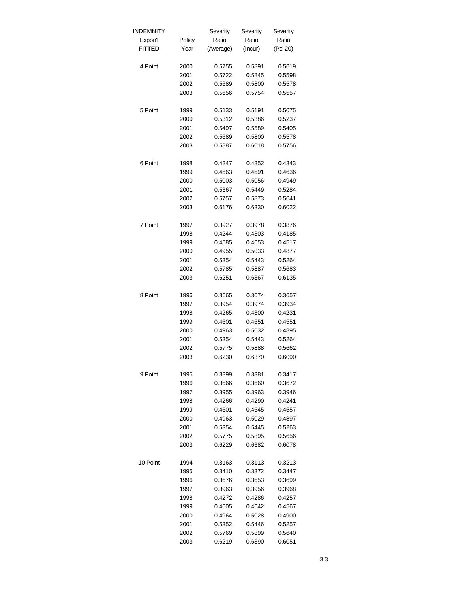| INDEMNITY     |        | Severity  | Severity | Severity |
|---------------|--------|-----------|----------|----------|
| Expon'l       | Policy | Ratio     | Ratio    | Ratio    |
| <b>FITTED</b> | Year   | (Average) | (Incur)  | (Pd-20)  |
|               |        |           |          |          |
| 4 Point       | 2000   | 0.5755    | 0.5891   | 0.5619   |
|               | 2001   | 0.5722    | 0.5845   | 0.5598   |
|               | 2002   | 0.5689    | 0.5800   | 0.5578   |
|               | 2003   | 0.5656    | 0.5754   | 0.5557   |
|               |        |           |          |          |
| 5 Point       | 1999   | 0.5133    | 0.5191   | 0.5075   |
|               | 2000   | 0.5312    | 0.5386   | 0.5237   |
|               | 2001   | 0.5497    | 0.5589   | 0.5405   |
|               | 2002   | 0.5689    | 0.5800   | 0.5578   |
|               | 2003   | 0.5887    | 0.6018   | 0.5756   |
|               |        |           |          |          |
| 6 Point       | 1998   | 0.4347    | 0.4352   | 0.4343   |
|               | 1999   | 0.4663    | 0.4691   | 0.4636   |
|               | 2000   | 0.5003    | 0.5056   | 0.4949   |
|               | 2001   | 0.5367    | 0.5449   | 0.5284   |
|               | 2002   | 0.5757    | 0.5873   | 0.5641   |
|               | 2003   | 0.6176    | 0.6330   | 0.6022   |
|               |        |           |          |          |
| 7 Point       | 1997   | 0.3927    | 0.3978   | 0.3876   |
|               | 1998   | 0.4244    | 0.4303   | 0.4185   |
|               | 1999   | 0.4585    | 0.4653   | 0.4517   |
|               | 2000   | 0.4955    | 0.5033   | 0.4877   |
|               | 2001   | 0.5354    | 0.5443   | 0.5264   |
|               | 2002   | 0.5785    | 0.5887   | 0.5683   |
|               | 2003   | 0.6251    | 0.6367   | 0.6135   |
|               |        |           |          |          |
| 8 Point       | 1996   | 0.3665    | 0.3674   | 0.3657   |
|               | 1997   | 0.3954    | 0.3974   | 0.3934   |
|               | 1998   | 0.4265    | 0.4300   | 0.4231   |
|               | 1999   | 0.4601    | 0.4651   | 0.4551   |
|               | 2000   | 0.4963    | 0.5032   | 0.4895   |
|               | 2001   | 0.5354    | 0.5443   | 0.5264   |
|               | 2002   | 0.5775    | 0.5888   | 0.5662   |
|               | 2003   | 0.6230    | 0.6370   | 0.6090   |
|               |        |           |          |          |
| 9 Point       | 1995   | 0.3399    | 0.3381   | 0.3417   |
|               | 1996   | 0.3666    | 0.3660   | 0.3672   |
|               | 1997   | 0.3955    | 0.3963   | 0.3946   |
|               | 1998   | 0.4266    | 0.4290   | 0.4241   |
|               | 1999   | 0.4601    | 0.4645   | 0.4557   |
|               | 2000   | 0.4963    | 0.5029   | 0.4897   |
|               | 2001   | 0.5354    | 0.5445   | 0.5263   |
|               | 2002   | 0.5775    | 0.5895   | 0.5656   |
|               | 2003   | 0.6229    | 0.6382   | 0.6078   |
|               |        |           |          |          |
| 10 Point      | 1994   | 0.3163    | 0.3113   | 0.3213   |
|               | 1995   | 0.3410    | 0.3372   | 0.3447   |
|               | 1996   | 0.3676    | 0.3653   | 0.3699   |
|               | 1997   | 0.3963    | 0.3956   | 0.3968   |
|               | 1998   | 0.4272    | 0.4286   | 0.4257   |
|               | 1999   | 0.4605    | 0.4642   | 0.4567   |
|               | 2000   | 0.4964    | 0.5028   | 0.4900   |
|               | 2001   | 0.5352    | 0.5446   | 0.5257   |
|               | 2002   | 0.5769    | 0.5899   | 0.5640   |
|               | 2003   | 0.6219    | 0.6390   | 0.6051   |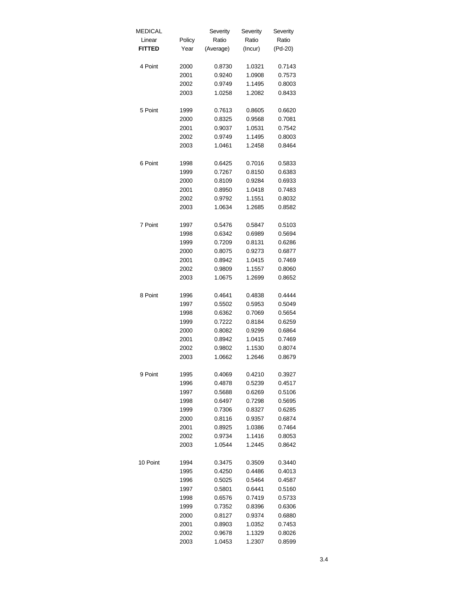| Linear<br>Ratio<br>Ratio<br>Ratio<br>Policy<br><b>FITTED</b><br>(Pd-20)<br>Year<br>(Average)<br>(Incur)<br>4 Point<br>2000<br>0.8730<br>1.0321<br>0.7143<br>2001<br>0.9240<br>1.0908<br>0.7573<br>1.1495<br>0.8003<br>2002<br>0.9749<br>1.0258<br>1.2082<br>0.8433<br>2003<br>5 Point<br>1999<br>0.7613<br>0.8605<br>0.6620<br>0.8325<br>0.9568<br>0.7081<br>2000<br>2001<br>0.9037<br>1.0531<br>0.7542<br>0.8003<br>2002<br>0.9749<br>1.1495<br>2003<br>1.0461<br>1.2458<br>0.8464<br>6 Point<br>1998<br>0.6425<br>0.7016<br>0.5833<br>0.7267<br>0.8150<br>0.6383<br>1999<br>2000<br>0.8109<br>0.9284<br>0.6933<br>1.0418<br>2001<br>0.8950<br>0.7483<br>2002<br>0.9792<br>1.1551<br>0.8032<br>1.0634<br>1.2685<br>2003<br>0.8582<br>7 Point<br>1997<br>0.5476<br>0.5847<br>0.5103<br>0.6342<br>0.6989<br>0.5694<br>1998<br>0.7209<br>1999<br>0.8131<br>0.6286<br>2000<br>0.8075<br>0.9273<br>0.6877<br>2001<br>0.8942<br>1.0415<br>0.7469<br>2002<br>0.9809<br>1.1557<br>0.8060<br>1.0675<br>0.8652<br>2003<br>1.2699<br>8 Point<br>1996<br>0.4641<br>0.4838<br>0.4444<br>0.5502<br>0.5953<br>0.5049<br>1997<br>0.6362<br>0.7069<br>0.5654<br>1998<br>0.7222<br>0.6259<br>1999<br>0.8184<br>0.8082<br>0.9299<br>2000<br>0.6864<br>0.8942<br>2001<br>1.0415<br>0.7469<br>2002<br>0.9802<br>1.1530<br>0.8074<br>2003<br>1.0662<br>1.2646<br>0.8679<br>9 Point<br>1995<br>0.4210<br>0.4069<br>0.3927<br>0.4517<br>1996<br>0.4878<br>0.5239<br>1997<br>0.5688<br>0.6269<br>0.5106<br>1998<br>0.6497<br>0.7298<br>0.5695<br>1999<br>0.7306<br>0.8327<br>0.6285<br>2000<br>0.8116<br>0.9357<br>0.6874<br>2001<br>0.8925<br>1.0386<br>0.7464<br>2002<br>0.9734<br>1.1416<br>0.8053<br>1.0544<br>1.2445<br>2003<br>0.8642<br>10 Point<br>1994<br>0.3475<br>0.3509<br>0.3440<br>1995<br>0.4250<br>0.4486<br>0.4013<br>1996<br>0.5025<br>0.5464<br>0.4587<br>1997<br>0.5801<br>0.6441<br>0.5160<br>1998<br>0.6576<br>0.7419<br>0.5733<br>1999<br>0.7352<br>0.8396<br>0.6306<br>2000<br>0.8127<br>0.9374<br>0.6880<br>2001<br>0.8903<br>1.0352<br>0.7453<br>2002<br>0.9678<br>1.1329<br>0.8026<br>2003<br>1.0453<br>1.2307<br>0.8599 | <b>MEDICAL</b> | Severity | Severity | Severity |
|-----------------------------------------------------------------------------------------------------------------------------------------------------------------------------------------------------------------------------------------------------------------------------------------------------------------------------------------------------------------------------------------------------------------------------------------------------------------------------------------------------------------------------------------------------------------------------------------------------------------------------------------------------------------------------------------------------------------------------------------------------------------------------------------------------------------------------------------------------------------------------------------------------------------------------------------------------------------------------------------------------------------------------------------------------------------------------------------------------------------------------------------------------------------------------------------------------------------------------------------------------------------------------------------------------------------------------------------------------------------------------------------------------------------------------------------------------------------------------------------------------------------------------------------------------------------------------------------------------------------------------------------------------------------------------------------------------------------------------------------------------------------------------------------------------------------------------------------------------------------------------------------------------------------------------------------------------------------------------------------------------------------------------------------------------------------------------------------------------------------------------|----------------|----------|----------|----------|
|                                                                                                                                                                                                                                                                                                                                                                                                                                                                                                                                                                                                                                                                                                                                                                                                                                                                                                                                                                                                                                                                                                                                                                                                                                                                                                                                                                                                                                                                                                                                                                                                                                                                                                                                                                                                                                                                                                                                                                                                                                                                                                                             |                |          |          |          |
|                                                                                                                                                                                                                                                                                                                                                                                                                                                                                                                                                                                                                                                                                                                                                                                                                                                                                                                                                                                                                                                                                                                                                                                                                                                                                                                                                                                                                                                                                                                                                                                                                                                                                                                                                                                                                                                                                                                                                                                                                                                                                                                             |                |          |          |          |
|                                                                                                                                                                                                                                                                                                                                                                                                                                                                                                                                                                                                                                                                                                                                                                                                                                                                                                                                                                                                                                                                                                                                                                                                                                                                                                                                                                                                                                                                                                                                                                                                                                                                                                                                                                                                                                                                                                                                                                                                                                                                                                                             |                |          |          |          |
|                                                                                                                                                                                                                                                                                                                                                                                                                                                                                                                                                                                                                                                                                                                                                                                                                                                                                                                                                                                                                                                                                                                                                                                                                                                                                                                                                                                                                                                                                                                                                                                                                                                                                                                                                                                                                                                                                                                                                                                                                                                                                                                             |                |          |          |          |
|                                                                                                                                                                                                                                                                                                                                                                                                                                                                                                                                                                                                                                                                                                                                                                                                                                                                                                                                                                                                                                                                                                                                                                                                                                                                                                                                                                                                                                                                                                                                                                                                                                                                                                                                                                                                                                                                                                                                                                                                                                                                                                                             |                |          |          |          |
|                                                                                                                                                                                                                                                                                                                                                                                                                                                                                                                                                                                                                                                                                                                                                                                                                                                                                                                                                                                                                                                                                                                                                                                                                                                                                                                                                                                                                                                                                                                                                                                                                                                                                                                                                                                                                                                                                                                                                                                                                                                                                                                             |                |          |          |          |
|                                                                                                                                                                                                                                                                                                                                                                                                                                                                                                                                                                                                                                                                                                                                                                                                                                                                                                                                                                                                                                                                                                                                                                                                                                                                                                                                                                                                                                                                                                                                                                                                                                                                                                                                                                                                                                                                                                                                                                                                                                                                                                                             |                |          |          |          |
|                                                                                                                                                                                                                                                                                                                                                                                                                                                                                                                                                                                                                                                                                                                                                                                                                                                                                                                                                                                                                                                                                                                                                                                                                                                                                                                                                                                                                                                                                                                                                                                                                                                                                                                                                                                                                                                                                                                                                                                                                                                                                                                             |                |          |          |          |
|                                                                                                                                                                                                                                                                                                                                                                                                                                                                                                                                                                                                                                                                                                                                                                                                                                                                                                                                                                                                                                                                                                                                                                                                                                                                                                                                                                                                                                                                                                                                                                                                                                                                                                                                                                                                                                                                                                                                                                                                                                                                                                                             |                |          |          |          |
|                                                                                                                                                                                                                                                                                                                                                                                                                                                                                                                                                                                                                                                                                                                                                                                                                                                                                                                                                                                                                                                                                                                                                                                                                                                                                                                                                                                                                                                                                                                                                                                                                                                                                                                                                                                                                                                                                                                                                                                                                                                                                                                             |                |          |          |          |
|                                                                                                                                                                                                                                                                                                                                                                                                                                                                                                                                                                                                                                                                                                                                                                                                                                                                                                                                                                                                                                                                                                                                                                                                                                                                                                                                                                                                                                                                                                                                                                                                                                                                                                                                                                                                                                                                                                                                                                                                                                                                                                                             |                |          |          |          |
|                                                                                                                                                                                                                                                                                                                                                                                                                                                                                                                                                                                                                                                                                                                                                                                                                                                                                                                                                                                                                                                                                                                                                                                                                                                                                                                                                                                                                                                                                                                                                                                                                                                                                                                                                                                                                                                                                                                                                                                                                                                                                                                             |                |          |          |          |
|                                                                                                                                                                                                                                                                                                                                                                                                                                                                                                                                                                                                                                                                                                                                                                                                                                                                                                                                                                                                                                                                                                                                                                                                                                                                                                                                                                                                                                                                                                                                                                                                                                                                                                                                                                                                                                                                                                                                                                                                                                                                                                                             |                |          |          |          |
|                                                                                                                                                                                                                                                                                                                                                                                                                                                                                                                                                                                                                                                                                                                                                                                                                                                                                                                                                                                                                                                                                                                                                                                                                                                                                                                                                                                                                                                                                                                                                                                                                                                                                                                                                                                                                                                                                                                                                                                                                                                                                                                             |                |          |          |          |
|                                                                                                                                                                                                                                                                                                                                                                                                                                                                                                                                                                                                                                                                                                                                                                                                                                                                                                                                                                                                                                                                                                                                                                                                                                                                                                                                                                                                                                                                                                                                                                                                                                                                                                                                                                                                                                                                                                                                                                                                                                                                                                                             |                |          |          |          |
|                                                                                                                                                                                                                                                                                                                                                                                                                                                                                                                                                                                                                                                                                                                                                                                                                                                                                                                                                                                                                                                                                                                                                                                                                                                                                                                                                                                                                                                                                                                                                                                                                                                                                                                                                                                                                                                                                                                                                                                                                                                                                                                             |                |          |          |          |
|                                                                                                                                                                                                                                                                                                                                                                                                                                                                                                                                                                                                                                                                                                                                                                                                                                                                                                                                                                                                                                                                                                                                                                                                                                                                                                                                                                                                                                                                                                                                                                                                                                                                                                                                                                                                                                                                                                                                                                                                                                                                                                                             |                |          |          |          |
|                                                                                                                                                                                                                                                                                                                                                                                                                                                                                                                                                                                                                                                                                                                                                                                                                                                                                                                                                                                                                                                                                                                                                                                                                                                                                                                                                                                                                                                                                                                                                                                                                                                                                                                                                                                                                                                                                                                                                                                                                                                                                                                             |                |          |          |          |
|                                                                                                                                                                                                                                                                                                                                                                                                                                                                                                                                                                                                                                                                                                                                                                                                                                                                                                                                                                                                                                                                                                                                                                                                                                                                                                                                                                                                                                                                                                                                                                                                                                                                                                                                                                                                                                                                                                                                                                                                                                                                                                                             |                |          |          |          |
|                                                                                                                                                                                                                                                                                                                                                                                                                                                                                                                                                                                                                                                                                                                                                                                                                                                                                                                                                                                                                                                                                                                                                                                                                                                                                                                                                                                                                                                                                                                                                                                                                                                                                                                                                                                                                                                                                                                                                                                                                                                                                                                             |                |          |          |          |
|                                                                                                                                                                                                                                                                                                                                                                                                                                                                                                                                                                                                                                                                                                                                                                                                                                                                                                                                                                                                                                                                                                                                                                                                                                                                                                                                                                                                                                                                                                                                                                                                                                                                                                                                                                                                                                                                                                                                                                                                                                                                                                                             |                |          |          |          |
|                                                                                                                                                                                                                                                                                                                                                                                                                                                                                                                                                                                                                                                                                                                                                                                                                                                                                                                                                                                                                                                                                                                                                                                                                                                                                                                                                                                                                                                                                                                                                                                                                                                                                                                                                                                                                                                                                                                                                                                                                                                                                                                             |                |          |          |          |
|                                                                                                                                                                                                                                                                                                                                                                                                                                                                                                                                                                                                                                                                                                                                                                                                                                                                                                                                                                                                                                                                                                                                                                                                                                                                                                                                                                                                                                                                                                                                                                                                                                                                                                                                                                                                                                                                                                                                                                                                                                                                                                                             |                |          |          |          |
|                                                                                                                                                                                                                                                                                                                                                                                                                                                                                                                                                                                                                                                                                                                                                                                                                                                                                                                                                                                                                                                                                                                                                                                                                                                                                                                                                                                                                                                                                                                                                                                                                                                                                                                                                                                                                                                                                                                                                                                                                                                                                                                             |                |          |          |          |
|                                                                                                                                                                                                                                                                                                                                                                                                                                                                                                                                                                                                                                                                                                                                                                                                                                                                                                                                                                                                                                                                                                                                                                                                                                                                                                                                                                                                                                                                                                                                                                                                                                                                                                                                                                                                                                                                                                                                                                                                                                                                                                                             |                |          |          |          |
|                                                                                                                                                                                                                                                                                                                                                                                                                                                                                                                                                                                                                                                                                                                                                                                                                                                                                                                                                                                                                                                                                                                                                                                                                                                                                                                                                                                                                                                                                                                                                                                                                                                                                                                                                                                                                                                                                                                                                                                                                                                                                                                             |                |          |          |          |
|                                                                                                                                                                                                                                                                                                                                                                                                                                                                                                                                                                                                                                                                                                                                                                                                                                                                                                                                                                                                                                                                                                                                                                                                                                                                                                                                                                                                                                                                                                                                                                                                                                                                                                                                                                                                                                                                                                                                                                                                                                                                                                                             |                |          |          |          |
|                                                                                                                                                                                                                                                                                                                                                                                                                                                                                                                                                                                                                                                                                                                                                                                                                                                                                                                                                                                                                                                                                                                                                                                                                                                                                                                                                                                                                                                                                                                                                                                                                                                                                                                                                                                                                                                                                                                                                                                                                                                                                                                             |                |          |          |          |
|                                                                                                                                                                                                                                                                                                                                                                                                                                                                                                                                                                                                                                                                                                                                                                                                                                                                                                                                                                                                                                                                                                                                                                                                                                                                                                                                                                                                                                                                                                                                                                                                                                                                                                                                                                                                                                                                                                                                                                                                                                                                                                                             |                |          |          |          |
|                                                                                                                                                                                                                                                                                                                                                                                                                                                                                                                                                                                                                                                                                                                                                                                                                                                                                                                                                                                                                                                                                                                                                                                                                                                                                                                                                                                                                                                                                                                                                                                                                                                                                                                                                                                                                                                                                                                                                                                                                                                                                                                             |                |          |          |          |
|                                                                                                                                                                                                                                                                                                                                                                                                                                                                                                                                                                                                                                                                                                                                                                                                                                                                                                                                                                                                                                                                                                                                                                                                                                                                                                                                                                                                                                                                                                                                                                                                                                                                                                                                                                                                                                                                                                                                                                                                                                                                                                                             |                |          |          |          |
|                                                                                                                                                                                                                                                                                                                                                                                                                                                                                                                                                                                                                                                                                                                                                                                                                                                                                                                                                                                                                                                                                                                                                                                                                                                                                                                                                                                                                                                                                                                                                                                                                                                                                                                                                                                                                                                                                                                                                                                                                                                                                                                             |                |          |          |          |
|                                                                                                                                                                                                                                                                                                                                                                                                                                                                                                                                                                                                                                                                                                                                                                                                                                                                                                                                                                                                                                                                                                                                                                                                                                                                                                                                                                                                                                                                                                                                                                                                                                                                                                                                                                                                                                                                                                                                                                                                                                                                                                                             |                |          |          |          |
|                                                                                                                                                                                                                                                                                                                                                                                                                                                                                                                                                                                                                                                                                                                                                                                                                                                                                                                                                                                                                                                                                                                                                                                                                                                                                                                                                                                                                                                                                                                                                                                                                                                                                                                                                                                                                                                                                                                                                                                                                                                                                                                             |                |          |          |          |
|                                                                                                                                                                                                                                                                                                                                                                                                                                                                                                                                                                                                                                                                                                                                                                                                                                                                                                                                                                                                                                                                                                                                                                                                                                                                                                                                                                                                                                                                                                                                                                                                                                                                                                                                                                                                                                                                                                                                                                                                                                                                                                                             |                |          |          |          |
|                                                                                                                                                                                                                                                                                                                                                                                                                                                                                                                                                                                                                                                                                                                                                                                                                                                                                                                                                                                                                                                                                                                                                                                                                                                                                                                                                                                                                                                                                                                                                                                                                                                                                                                                                                                                                                                                                                                                                                                                                                                                                                                             |                |          |          |          |
|                                                                                                                                                                                                                                                                                                                                                                                                                                                                                                                                                                                                                                                                                                                                                                                                                                                                                                                                                                                                                                                                                                                                                                                                                                                                                                                                                                                                                                                                                                                                                                                                                                                                                                                                                                                                                                                                                                                                                                                                                                                                                                                             |                |          |          |          |
|                                                                                                                                                                                                                                                                                                                                                                                                                                                                                                                                                                                                                                                                                                                                                                                                                                                                                                                                                                                                                                                                                                                                                                                                                                                                                                                                                                                                                                                                                                                                                                                                                                                                                                                                                                                                                                                                                                                                                                                                                                                                                                                             |                |          |          |          |
|                                                                                                                                                                                                                                                                                                                                                                                                                                                                                                                                                                                                                                                                                                                                                                                                                                                                                                                                                                                                                                                                                                                                                                                                                                                                                                                                                                                                                                                                                                                                                                                                                                                                                                                                                                                                                                                                                                                                                                                                                                                                                                                             |                |          |          |          |
|                                                                                                                                                                                                                                                                                                                                                                                                                                                                                                                                                                                                                                                                                                                                                                                                                                                                                                                                                                                                                                                                                                                                                                                                                                                                                                                                                                                                                                                                                                                                                                                                                                                                                                                                                                                                                                                                                                                                                                                                                                                                                                                             |                |          |          |          |
|                                                                                                                                                                                                                                                                                                                                                                                                                                                                                                                                                                                                                                                                                                                                                                                                                                                                                                                                                                                                                                                                                                                                                                                                                                                                                                                                                                                                                                                                                                                                                                                                                                                                                                                                                                                                                                                                                                                                                                                                                                                                                                                             |                |          |          |          |
|                                                                                                                                                                                                                                                                                                                                                                                                                                                                                                                                                                                                                                                                                                                                                                                                                                                                                                                                                                                                                                                                                                                                                                                                                                                                                                                                                                                                                                                                                                                                                                                                                                                                                                                                                                                                                                                                                                                                                                                                                                                                                                                             |                |          |          |          |
|                                                                                                                                                                                                                                                                                                                                                                                                                                                                                                                                                                                                                                                                                                                                                                                                                                                                                                                                                                                                                                                                                                                                                                                                                                                                                                                                                                                                                                                                                                                                                                                                                                                                                                                                                                                                                                                                                                                                                                                                                                                                                                                             |                |          |          |          |
|                                                                                                                                                                                                                                                                                                                                                                                                                                                                                                                                                                                                                                                                                                                                                                                                                                                                                                                                                                                                                                                                                                                                                                                                                                                                                                                                                                                                                                                                                                                                                                                                                                                                                                                                                                                                                                                                                                                                                                                                                                                                                                                             |                |          |          |          |
|                                                                                                                                                                                                                                                                                                                                                                                                                                                                                                                                                                                                                                                                                                                                                                                                                                                                                                                                                                                                                                                                                                                                                                                                                                                                                                                                                                                                                                                                                                                                                                                                                                                                                                                                                                                                                                                                                                                                                                                                                                                                                                                             |                |          |          |          |
|                                                                                                                                                                                                                                                                                                                                                                                                                                                                                                                                                                                                                                                                                                                                                                                                                                                                                                                                                                                                                                                                                                                                                                                                                                                                                                                                                                                                                                                                                                                                                                                                                                                                                                                                                                                                                                                                                                                                                                                                                                                                                                                             |                |          |          |          |
|                                                                                                                                                                                                                                                                                                                                                                                                                                                                                                                                                                                                                                                                                                                                                                                                                                                                                                                                                                                                                                                                                                                                                                                                                                                                                                                                                                                                                                                                                                                                                                                                                                                                                                                                                                                                                                                                                                                                                                                                                                                                                                                             |                |          |          |          |
|                                                                                                                                                                                                                                                                                                                                                                                                                                                                                                                                                                                                                                                                                                                                                                                                                                                                                                                                                                                                                                                                                                                                                                                                                                                                                                                                                                                                                                                                                                                                                                                                                                                                                                                                                                                                                                                                                                                                                                                                                                                                                                                             |                |          |          |          |
|                                                                                                                                                                                                                                                                                                                                                                                                                                                                                                                                                                                                                                                                                                                                                                                                                                                                                                                                                                                                                                                                                                                                                                                                                                                                                                                                                                                                                                                                                                                                                                                                                                                                                                                                                                                                                                                                                                                                                                                                                                                                                                                             |                |          |          |          |
|                                                                                                                                                                                                                                                                                                                                                                                                                                                                                                                                                                                                                                                                                                                                                                                                                                                                                                                                                                                                                                                                                                                                                                                                                                                                                                                                                                                                                                                                                                                                                                                                                                                                                                                                                                                                                                                                                                                                                                                                                                                                                                                             |                |          |          |          |
|                                                                                                                                                                                                                                                                                                                                                                                                                                                                                                                                                                                                                                                                                                                                                                                                                                                                                                                                                                                                                                                                                                                                                                                                                                                                                                                                                                                                                                                                                                                                                                                                                                                                                                                                                                                                                                                                                                                                                                                                                                                                                                                             |                |          |          |          |
|                                                                                                                                                                                                                                                                                                                                                                                                                                                                                                                                                                                                                                                                                                                                                                                                                                                                                                                                                                                                                                                                                                                                                                                                                                                                                                                                                                                                                                                                                                                                                                                                                                                                                                                                                                                                                                                                                                                                                                                                                                                                                                                             |                |          |          |          |
|                                                                                                                                                                                                                                                                                                                                                                                                                                                                                                                                                                                                                                                                                                                                                                                                                                                                                                                                                                                                                                                                                                                                                                                                                                                                                                                                                                                                                                                                                                                                                                                                                                                                                                                                                                                                                                                                                                                                                                                                                                                                                                                             |                |          |          |          |
|                                                                                                                                                                                                                                                                                                                                                                                                                                                                                                                                                                                                                                                                                                                                                                                                                                                                                                                                                                                                                                                                                                                                                                                                                                                                                                                                                                                                                                                                                                                                                                                                                                                                                                                                                                                                                                                                                                                                                                                                                                                                                                                             |                |          |          |          |
|                                                                                                                                                                                                                                                                                                                                                                                                                                                                                                                                                                                                                                                                                                                                                                                                                                                                                                                                                                                                                                                                                                                                                                                                                                                                                                                                                                                                                                                                                                                                                                                                                                                                                                                                                                                                                                                                                                                                                                                                                                                                                                                             |                |          |          |          |
|                                                                                                                                                                                                                                                                                                                                                                                                                                                                                                                                                                                                                                                                                                                                                                                                                                                                                                                                                                                                                                                                                                                                                                                                                                                                                                                                                                                                                                                                                                                                                                                                                                                                                                                                                                                                                                                                                                                                                                                                                                                                                                                             |                |          |          |          |
|                                                                                                                                                                                                                                                                                                                                                                                                                                                                                                                                                                                                                                                                                                                                                                                                                                                                                                                                                                                                                                                                                                                                                                                                                                                                                                                                                                                                                                                                                                                                                                                                                                                                                                                                                                                                                                                                                                                                                                                                                                                                                                                             |                |          |          |          |
|                                                                                                                                                                                                                                                                                                                                                                                                                                                                                                                                                                                                                                                                                                                                                                                                                                                                                                                                                                                                                                                                                                                                                                                                                                                                                                                                                                                                                                                                                                                                                                                                                                                                                                                                                                                                                                                                                                                                                                                                                                                                                                                             |                |          |          |          |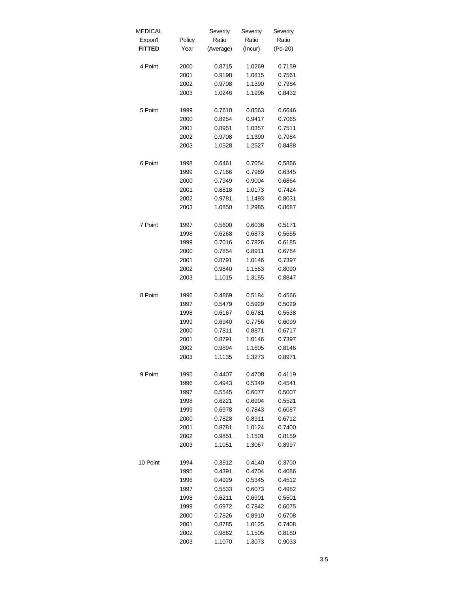| <b>MEDICAL</b> |        | Severity  | Severity | Severity |
|----------------|--------|-----------|----------|----------|
| Expon'l        | Policy | Ratio     | Ratio    | Ratio    |
| <b>FITTED</b>  | Year   | (Average) | (Incur)  | (Pd-20)  |
|                |        |           |          |          |
| 4 Point        | 2000   | 0.8715    | 1.0269   | 0.7159   |
|                | 2001   | 0.9198    | 1.0815   | 0.7561   |
|                | 2002   | 0.9708    | 1.1390   | 0.7984   |
|                | 2003   | 1.0246    | 1.1996   | 0.8432   |
|                |        |           |          |          |
| 5 Point        | 1999   | 0.7610    | 0.8563   | 0.6646   |
|                | 2000   | 0.8254    | 0.9417   | 0.7065   |
|                | 2001   | 0.8951    | 1.0357   | 0.7511   |
|                | 2002   | 0.9708    | 1.1390   | 0.7984   |
|                | 2003   | 1.0528    | 1.2527   | 0.8488   |
|                |        |           |          |          |
| 6 Point        | 1998   | 0.6461    | 0.7054   | 0.5866   |
|                | 1999   | 0.7166    | 0.7969   | 0.6345   |
|                | 2000   | 0.7949    | 0.9004   | 0.6864   |
|                | 2001   | 0.8818    | 1.0173   | 0.7424   |
|                | 2002   | 0.9781    | 1.1493   | 0.8031   |
|                | 2003   | 1.0850    | 1.2985   | 0.8687   |
|                |        |           |          |          |
| 7 Point        | 1997   | 0.5600    | 0.6036   | 0.5171   |
|                | 1998   | 0.6268    | 0.6873   | 0.5655   |
|                | 1999   | 0.7016    | 0.7826   | 0.6185   |
|                | 2000   | 0.7854    | 0.8911   | 0.6764   |
|                | 2001   | 0.8791    | 1.0146   | 0.7397   |
|                | 2002   | 0.9840    | 1.1553   | 0.8090   |
|                | 2003   | 1.1015    | 1.3155   | 0.8847   |
|                |        |           |          |          |
| 8 Point        | 1996   | 0.4869    | 0.5184   | 0.4566   |
|                | 1997   | 0.5479    | 0.5929   | 0.5029   |
|                | 1998   | 0.6167    | 0.6781   | 0.5538   |
|                | 1999   | 0.6940    | 0.7756   | 0.6099   |
|                | 2000   | 0.7811    | 0.8871   | 0.6717   |
|                | 2001   | 0.8791    | 1.0146   | 0.7397   |
|                | 2002   | 0.9894    | 1.1605   | 0.8146   |
|                | 2003   | 1.1135    | 1.3273   | 0.8971   |
|                |        |           |          |          |
| 9 Point        | 1995   | 0.4407    | 0.4708   | 0.4119   |
|                | 1996   | 0.4943    | 0.5349   | 0.4541   |
|                | 1997   | 0.5545    | 0.6077   | 0.5007   |
|                | 1998   | 0.6221    | 0.6904   | 0.5521   |
|                | 1999   | 0.6978    | 0.7843   | 0.6087   |
|                | 2000   | 0.7828    | 0.8911   | 0.6712   |
|                | 2001   | 0.8781    | 1.0124   | 0.7400   |
|                | 2002   | 0.9851    | 1.1501   | 0.8159   |
|                | 2003   | 1.1051    | 1.3067   | 0.8997   |
|                |        |           |          |          |
| 10 Point       | 1994   | 0.3912    | 0.4140   | 0.3700   |
|                | 1995   | 0.4391    | 0.4704   | 0.4086   |
|                | 1996   | 0.4929    | 0.5345   | 0.4512   |
|                | 1997   | 0.5533    | 0.6073   | 0.4982   |
|                | 1998   | 0.6211    | 0.6901   | 0.5501   |
|                | 1999   | 0.6972    | 0.7842   | 0.6075   |
|                | 2000   | 0.7826    | 0.8910   | 0.6708   |
|                | 2001   | 0.8785    | 1.0125   | 0.7408   |
|                | 2002   | 0.9862    | 1.1505   | 0.8180   |
|                | 2003   | 1.1070    | 1.3073   | 0.9033   |
|                |        |           |          |          |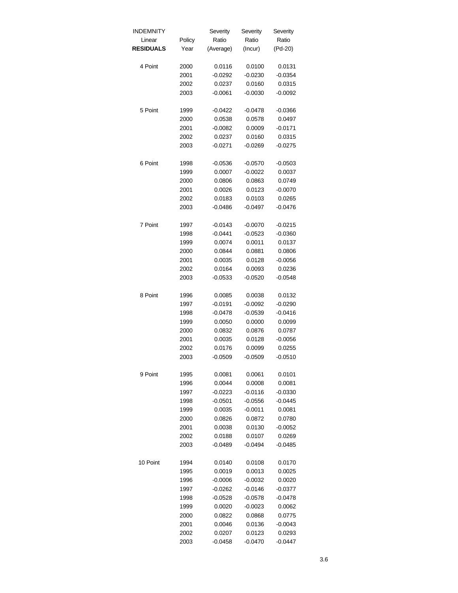| INDEMNITY        |        | Severity  | Severity  | Severity  |
|------------------|--------|-----------|-----------|-----------|
| Linear           | Policy | Ratio     | Ratio     | Ratio     |
| <b>RESIDUALS</b> | Year   | (Average) | (Incur)   | (Pd-20)   |
|                  |        |           |           |           |
| 4 Point          | 2000   | 0.0116    | 0.0100    | 0.0131    |
|                  | 2001   | $-0.0292$ | $-0.0230$ | $-0.0354$ |
|                  | 2002   | 0.0237    | 0.0160    | 0.0315    |
|                  | 2003   | $-0.0061$ | $-0.0030$ | $-0.0092$ |
|                  |        |           |           |           |
| 5 Point          | 1999   | $-0.0422$ | $-0.0478$ | $-0.0366$ |
|                  | 2000   | 0.0538    | 0.0578    | 0.0497    |
|                  | 2001   | $-0.0082$ | 0.0009    | $-0.0171$ |
|                  | 2002   | 0.0237    | 0.0160    | 0.0315    |
|                  | 2003   | $-0.0271$ | $-0.0269$ | $-0.0275$ |
|                  |        |           |           |           |
| 6 Point          | 1998   | $-0.0536$ | $-0.0570$ | $-0.0503$ |
|                  | 1999   | 0.0007    | $-0.0022$ | 0.0037    |
|                  | 2000   | 0.0806    | 0.0863    | 0.0749    |
|                  | 2001   | 0.0026    | 0.0123    | $-0.0070$ |
|                  | 2002   | 0.0183    | 0.0103    | 0.0265    |
|                  | 2003   | $-0.0486$ | $-0.0497$ | $-0.0476$ |
|                  |        |           |           |           |
| 7 Point          | 1997   | $-0.0143$ | $-0.0070$ | $-0.0215$ |
|                  | 1998   | $-0.0441$ | $-0.0523$ | $-0.0360$ |
|                  | 1999   | 0.0074    | 0.0011    | 0.0137    |
|                  | 2000   | 0.0844    | 0.0881    | 0.0806    |
|                  | 2001   | 0.0035    | 0.0128    | $-0.0056$ |
|                  | 2002   | 0.0164    | 0.0093    | 0.0236    |
|                  | 2003   | $-0.0533$ | $-0.0520$ | $-0.0548$ |
|                  |        |           |           |           |
| 8 Point          | 1996   | 0.0085    | 0.0038    | 0.0132    |
|                  | 1997   | $-0.0191$ | $-0.0092$ | $-0.0290$ |
|                  | 1998   | $-0.0478$ | $-0.0539$ | $-0.0416$ |
|                  | 1999   | 0.0050    | 0.0000    | 0.0099    |
|                  | 2000   | 0.0832    | 0.0876    | 0.0787    |
|                  | 2001   | 0.0035    | 0.0128    | $-0.0056$ |
|                  | 2002   | 0.0176    | 0.0099    | 0.0255    |
|                  | 2003   | $-0.0509$ | $-0.0509$ | $-0.0510$ |
|                  |        |           |           |           |
| 9 Point          | 1995   | 0.0081    | 0.0061    | 0.0101    |
|                  | 1996   | 0.0044    | 0.0008    | 0.0081    |
|                  | 1997   | $-0.0223$ | $-0.0116$ | $-0.0330$ |
|                  | 1998   | $-0.0501$ | $-0.0556$ | $-0.0445$ |
|                  | 1999   | 0.0035    | $-0.0011$ | 0.0081    |
|                  | 2000   | 0.0826    | 0.0872    | 0.0780    |
|                  | 2001   | 0.0038    | 0.0130    | $-0.0052$ |
|                  | 2002   | 0.0188    | 0.0107    | 0.0269    |
|                  | 2003   | $-0.0489$ | $-0.0494$ | $-0.0485$ |
|                  |        |           |           |           |
| 10 Point         | 1994   | 0.0140    | 0.0108    | 0.0170    |
|                  | 1995   | 0.0019    | 0.0013    | 0.0025    |
|                  | 1996   | $-0.0006$ | $-0.0032$ | 0.0020    |
|                  | 1997   | $-0.0262$ | $-0.0146$ | $-0.0377$ |
|                  | 1998   | $-0.0528$ | $-0.0578$ | $-0.0478$ |
|                  | 1999   | 0.0020    | $-0.0023$ | 0.0062    |
|                  | 2000   | 0.0822    | 0.0868    | 0.0775    |
|                  | 2001   | 0.0046    | 0.0136    | $-0.0043$ |
|                  | 2002   | 0.0207    | 0.0123    | 0.0293    |
|                  | 2003   | $-0.0458$ | $-0.0470$ | $-0.0447$ |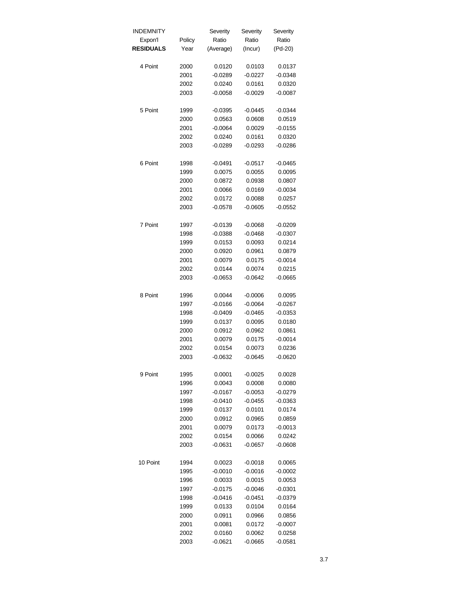| <b>INDEMNITY</b> |        | Severity  | Severity  | Severity  |
|------------------|--------|-----------|-----------|-----------|
| Expon'l          | Policy | Ratio     | Ratio     | Ratio     |
| <b>RESIDUALS</b> | Year   | (Average) | (Incur)   | (Pd-20)   |
| 4 Point          | 2000   | 0.0120    | 0.0103    | 0.0137    |
|                  | 2001   | $-0.0289$ | $-0.0227$ | $-0.0348$ |
|                  | 2002   | 0.0240    | 0.0161    | 0.0320    |
|                  | 2003   | $-0.0058$ | $-0.0029$ | $-0.0087$ |
| 5 Point          | 1999   | $-0.0395$ | $-0.0445$ | $-0.0344$ |
|                  | 2000   | 0.0563    | 0.0608    | 0.0519    |
|                  | 2001   | $-0.0064$ | 0.0029    | $-0.0155$ |
|                  | 2002   | 0.0240    | 0.0161    | 0.0320    |
|                  | 2003   | $-0.0289$ | $-0.0293$ | $-0.0286$ |
| 6 Point          | 1998   | $-0.0491$ | $-0.0517$ | $-0.0465$ |
|                  | 1999   | 0.0075    | 0.0055    | 0.0095    |
|                  | 2000   | 0.0872    | 0.0938    | 0.0807    |
|                  | 2001   | 0.0066    | 0.0169    | $-0.0034$ |
|                  | 2002   | 0.0172    | 0.0088    | 0.0257    |
|                  | 2003   | $-0.0578$ | $-0.0605$ | $-0.0552$ |
| 7 Point          | 1997   | $-0.0139$ | $-0.0068$ | $-0.0209$ |
|                  | 1998   | $-0.0388$ | $-0.0468$ | $-0.0307$ |
|                  | 1999   | 0.0153    | 0.0093    | 0.0214    |
|                  | 2000   | 0.0920    | 0.0961    | 0.0879    |
|                  | 2001   | 0.0079    | 0.0175    | $-0.0014$ |
|                  | 2002   | 0.0144    | 0.0074    | 0.0215    |
|                  | 2003   | $-0.0653$ | $-0.0642$ | $-0.0665$ |
| 8 Point          | 1996   | 0.0044    | $-0.0006$ | 0.0095    |
|                  | 1997   | $-0.0166$ | $-0.0064$ | $-0.0267$ |
|                  | 1998   | $-0.0409$ | $-0.0465$ | $-0.0353$ |
|                  | 1999   | 0.0137    | 0.0095    | 0.0180    |
|                  | 2000   | 0.0912    | 0.0962    | 0.0861    |
|                  | 2001   | 0.0079    | 0.0175    | $-0.0014$ |
|                  | 2002   | 0.0154    | 0.0073    | 0.0236    |
|                  | 2003   | $-0.0632$ | $-0.0645$ | $-0.0620$ |
| 9 Point          | 1995   | 0.0001    | $-0.0025$ | 0.0028    |
|                  | 1996   | 0.0043    | 0.0008    | 0.0080    |
|                  | 1997   | $-0.0167$ | $-0.0053$ | $-0.0279$ |
|                  | 1998   | $-0.0410$ | $-0.0455$ | $-0.0363$ |
|                  | 1999   | 0.0137    | 0.0101    | 0.0174    |
|                  | 2000   | 0.0912    | 0.0965    | 0.0859    |
|                  | 2001   | 0.0079    | 0.0173    | $-0.0013$ |
|                  | 2002   | 0.0154    | 0.0066    | 0.0242    |
|                  | 2003   | $-0.0631$ | $-0.0657$ | $-0.0608$ |
| 10 Point         | 1994   | 0.0023    | $-0.0018$ | 0.0065    |
|                  | 1995   | $-0.0010$ | $-0.0016$ | $-0.0002$ |
|                  | 1996   | 0.0033    | 0.0015    | 0.0053    |
|                  | 1997   | $-0.0175$ | $-0.0046$ | $-0.0301$ |
|                  | 1998   | $-0.0416$ | $-0.0451$ | $-0.0379$ |
|                  |        |           |           |           |
|                  | 1999   | 0.0133    | 0.0104    | 0.0164    |
|                  | 2000   | 0.0911    | 0.0966    | 0.0856    |
|                  | 2001   | 0.0081    | 0.0172    | $-0.0007$ |
|                  | 2002   | 0.0160    | 0.0062    | 0.0258    |
|                  | 2003   | $-0.0621$ | $-0.0665$ | $-0.0581$ |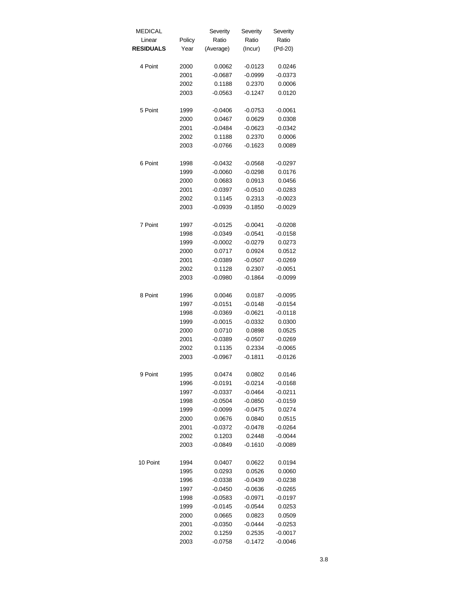| MEDICAL          |        | Severity  | Severity  | Severity  |
|------------------|--------|-----------|-----------|-----------|
| Linear           | Policy | Ratio     | Ratio     | Ratio     |
| <b>RESIDUALS</b> | Year   | (Average) | (Incur)   | (Pd-20)   |
| 4 Point          | 2000   | 0.0062    | $-0.0123$ | 0.0246    |
|                  | 2001   | $-0.0687$ | $-0.0999$ | $-0.0373$ |
|                  | 2002   | 0.1188    | 0.2370    | 0.0006    |
|                  | 2003   | $-0.0563$ | $-0.1247$ | 0.0120    |
| 5 Point          | 1999   | $-0.0406$ | $-0.0753$ | $-0.0061$ |
|                  | 2000   | 0.0467    | 0.0629    | 0.0308    |
|                  | 2001   | $-0.0484$ | $-0.0623$ | $-0.0342$ |
|                  | 2002   | 0.1188    | 0.2370    | 0.0006    |
|                  | 2003   | $-0.0766$ | $-0.1623$ | 0.0089    |
| 6 Point          | 1998   | $-0.0432$ | $-0.0568$ | $-0.0297$ |
|                  | 1999   | $-0.0060$ | $-0.0298$ | 0.0176    |
|                  | 2000   | 0.0683    | 0.0913    | 0.0456    |
|                  | 2001   | $-0.0397$ | $-0.0510$ | $-0.0283$ |
|                  | 2002   | 0.1145    | 0.2313    | $-0.0023$ |
|                  | 2003   | $-0.0939$ | $-0.1850$ | $-0.0029$ |
| 7 Point          | 1997   | $-0.0125$ | $-0.0041$ | $-0.0208$ |
|                  | 1998   | $-0.0349$ | $-0.0541$ | $-0.0158$ |
|                  | 1999   | $-0.0002$ | $-0.0279$ | 0.0273    |
|                  | 2000   | 0.0717    | 0.0924    | 0.0512    |
|                  | 2001   | $-0.0389$ | $-0.0507$ | $-0.0269$ |
|                  | 2002   | 0.1128    | 0.2307    | $-0.0051$ |
|                  | 2003   | $-0.0980$ | $-0.1864$ | $-0.0099$ |
| 8 Point          | 1996   | 0.0046    | 0.0187    | $-0.0095$ |
|                  | 1997   | $-0.0151$ | $-0.0148$ | $-0.0154$ |
|                  | 1998   | $-0.0369$ | $-0.0621$ | $-0.0118$ |
|                  | 1999   | $-0.0015$ | $-0.0332$ | 0.0300    |
|                  | 2000   | 0.0710    | 0.0898    | 0.0525    |
|                  | 2001   | $-0.0389$ | $-0.0507$ | $-0.0269$ |
|                  | 2002   | 0.1135    | 0.2334    | $-0.0065$ |
|                  | 2003   | $-0.0967$ | $-0.1811$ | $-0.0126$ |
| 9 Point          | 1995   | 0.0474    | 0.0802    | 0.0146    |
|                  | 1996   | $-0.0191$ | $-0.0214$ | $-0.0168$ |
|                  | 1997   | $-0.0337$ | $-0.0464$ | $-0.0211$ |
|                  | 1998   | $-0.0504$ | $-0.0850$ | $-0.0159$ |
|                  | 1999   | $-0.0099$ | $-0.0475$ | 0.0274    |
|                  | 2000   | 0.0676    | 0.0840    | 0.0515    |
|                  | 2001   | $-0.0372$ | $-0.0478$ | $-0.0264$ |
|                  | 2002   | 0.1203    | 0.2448    | $-0.0044$ |
|                  | 2003   | $-0.0849$ | $-0.1610$ | $-0.0089$ |
|                  |        |           |           |           |
| 10 Point         | 1994   | 0.0407    | 0.0622    | 0.0194    |
|                  | 1995   | 0.0293    | 0.0526    | 0.0060    |
|                  | 1996   | $-0.0338$ | $-0.0439$ | $-0.0238$ |
|                  | 1997   | $-0.0450$ | $-0.0636$ | $-0.0265$ |
|                  | 1998   | $-0.0583$ | $-0.0971$ | $-0.0197$ |
|                  | 1999   | $-0.0145$ | $-0.0544$ | 0.0253    |
|                  | 2000   | 0.0665    | 0.0823    | 0.0509    |
|                  | 2001   | $-0.0350$ | $-0.0444$ | $-0.0253$ |
|                  | 2002   | 0.1259    | 0.2535    | $-0.0017$ |
|                  | 2003   | $-0.0758$ | $-0.1472$ | $-0.0046$ |